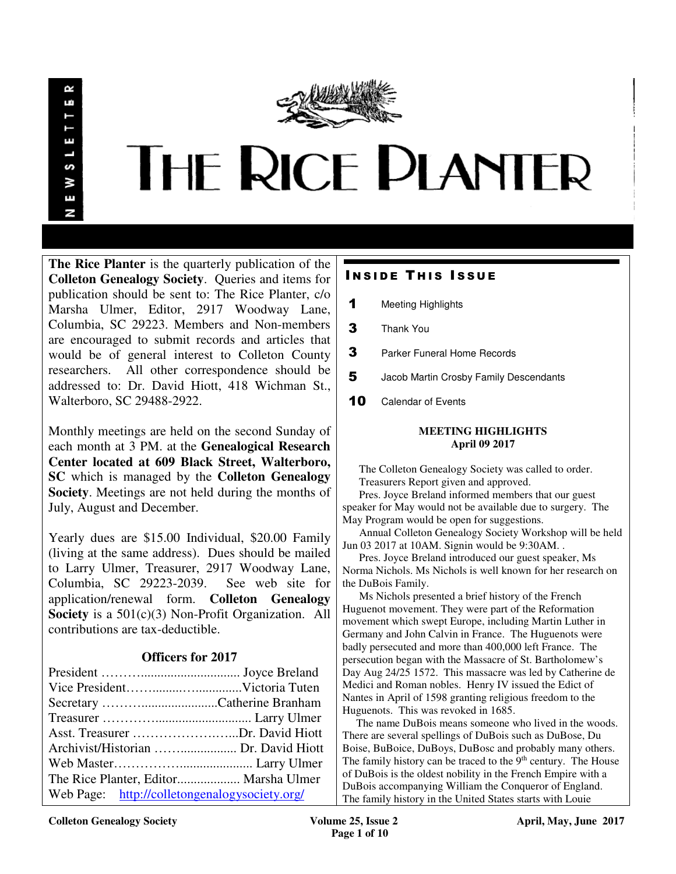œ LÚ S У E N



**The Rice Planter** is the quarterly publication of the **Colleton Genealogy Society**. Queries and items for publication should be sent to: The Rice Planter, c/o Marsha Ulmer, Editor, 2917 Woodway Lane, Columbia, SC 29223. Members and Non-members are encouraged to submit records and articles that would be of general interest to Colleton County researchers. All other correspondence should be addressed to: Dr. David Hiott, 418 Wichman St., Walterboro, SC 29488-2922.

Monthly meetings are held on the second Sunday of each month at 3 PM. at the **Genealogical Research Center located at 609 Black Street, Walterboro, SC** which is managed by the **Colleton Genealogy Society**. Meetings are not held during the months of July, August and December.

Yearly dues are \$15.00 Individual, \$20.00 Family (living at the same address). Dues should be mailed to Larry Ulmer, Treasurer, 2917 Woodway Lane, Columbia, SC 29223-2039. See web site for application/renewal form. **Colleton Genealogy Society** is a 501(c)(3) Non-Profit Organization. All contributions are tax-deductible.

# **Officers for 2017**

| Asst. Treasurer Dr. David Hiott               |  |
|-----------------------------------------------|--|
|                                               |  |
|                                               |  |
| The Rice Planter, Editor Marsha Ulmer         |  |
| Web Page: http://colletongenalogysociety.org/ |  |

# **INSIDE THIS ISSUE**

- 1 Meeting Highlights
- 3 Thank You
- **3** Parker Funeral Home Records
- 5 Jacob Martin Crosby Family Descendants
- 10 Calendar of Events

#### **MEETING HIGHLIGHTS April 09 2017**

 The Colleton Genealogy Society was called to order. Treasurers Report given and approved.

 Pres. Joyce Breland informed members that our guest speaker for May would not be available due to surgery. The May Program would be open for suggestions.

 Annual Colleton Genealogy Society Workshop will be held Jun 03 2017 at 10AM. Signin would be 9:30AM. .

 Pres. Joyce Breland introduced our guest speaker, Ms Norma Nichols. Ms Nichols is well known for her research on the DuBois Family.

 Ms Nichols presented a brief history of the French Huguenot movement. They were part of the Reformation movement which swept Europe, including Martin Luther in Germany and John Calvin in France. The Huguenots were badly persecuted and more than 400,000 left France. The persecution began with the Massacre of St. Bartholomew's Day Aug 24/25 1572. This massacre was led by Catherine de Medici and Roman nobles. Henry IV issued the Edict of Nantes in April of 1598 granting religious freedom to the Huguenots. This was revoked in 1685.

 The name DuBois means someone who lived in the woods. There are several spellings of DuBois such as DuBose, Du Boise, BuBoice, DuBoys, DuBosc and probably many others. The family history can be traced to the 9<sup>th</sup> century. The House of DuBois is the oldest nobility in the French Empire with a DuBois accompanying William the Conqueror of England. The family history in the United States starts with Louie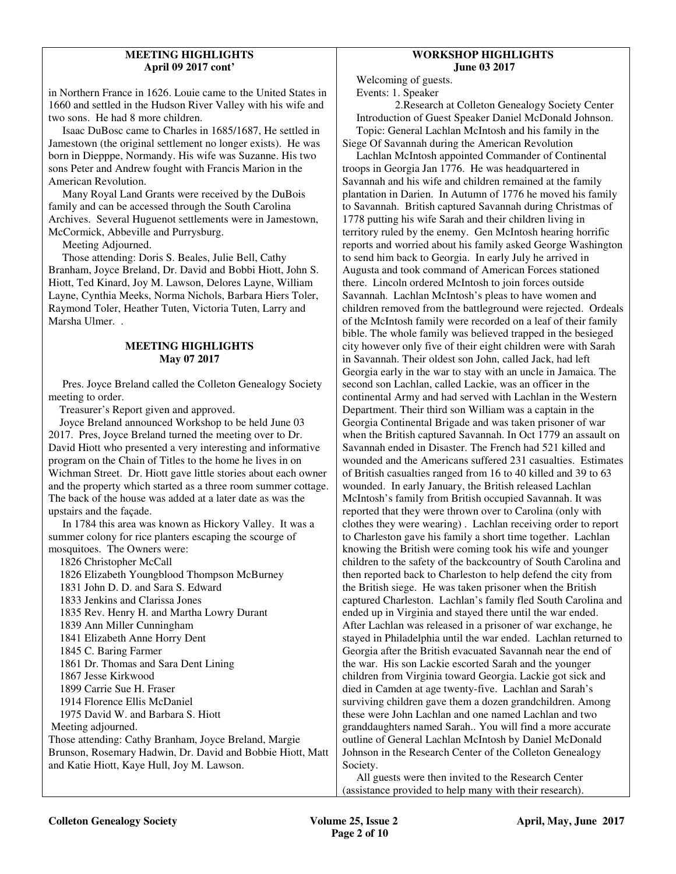## **MEETING HIGHLIGHTS April 09 2017 cont'**

in Northern France in 1626. Louie came to the United States in 1660 and settled in the Hudson River Valley with his wife and two sons. He had 8 more children.

 Isaac DuBosc came to Charles in 1685/1687, He settled in Jamestown (the original settlement no longer exists). He was born in Diepppe, Normandy. His wife was Suzanne. His two sons Peter and Andrew fought with Francis Marion in the American Revolution.

 Many Royal Land Grants were received by the DuBois family and can be accessed through the South Carolina Archives. Several Huguenot settlements were in Jamestown, McCormick, Abbeville and Purrysburg.

Meeting Adjourned.

 Those attending: Doris S. Beales, Julie Bell, Cathy Branham, Joyce Breland, Dr. David and Bobbi Hiott, John S. Hiott, Ted Kinard, Joy M. Lawson, Delores Layne, William Layne, Cynthia Meeks, Norma Nichols, Barbara Hiers Toler, Raymond Toler, Heather Tuten, Victoria Tuten, Larry and Marsha Ulmer. .

## **MEETING HIGHLIGHTS May 07 2017**

 Pres. Joyce Breland called the Colleton Genealogy Society meeting to order.

Treasurer's Report given and approved.

 Joyce Breland announced Workshop to be held June 03 2017. Pres, Joyce Breland turned the meeting over to Dr. David Hiott who presented a very interesting and informative program on the Chain of Titles to the home he lives in on Wichman Street. Dr. Hiott gave little stories about each owner and the property which started as a three room summer cottage. The back of the house was added at a later date as was the upstairs and the façade.

 In 1784 this area was known as Hickory Valley. It was a summer colony for rice planters escaping the scourge of mosquitoes. The Owners were:

| 1826 Christopher McCall                                    |
|------------------------------------------------------------|
| 1826 Elizabeth Youngblood Thompson McBurney                |
| 1831 John D. D. and Sara S. Edward                         |
| 1833 Jenkins and Clarissa Jones                            |
| 1835 Rev. Henry H. and Martha Lowry Durant                 |
| 1839 Ann Miller Cunningham                                 |
| 1841 Elizabeth Anne Horry Dent                             |
| 1845 C. Baring Farmer                                      |
| 1861 Dr. Thomas and Sara Dent Lining                       |
| 1867 Jesse Kirkwood                                        |
| 1899 Carrie Sue H. Fraser                                  |
| 1914 Florence Ellis McDaniel                               |
| 1975 David W. and Barbara S. Hiott                         |
| Meeting adjourned.                                         |
| Those attending: Cathy Branham, Joyce Breland, Margie      |
| Brunson, Rosemary Hadwin, Dr. David and Bobbie Hiott, Matt |
| and Katie Hiott, Kaye Hull, Joy M. Lawson.                 |
|                                                            |

## **WORKSHOP HIGHLIGHTS June 03 2017**

Welcoming of guests. Events: 1. Speaker

 2.Research at Colleton Genealogy Society Center Introduction of Guest Speaker Daniel McDonald Johnson. Topic: General Lachlan McIntosh and his family in the Siege Of Savannah during the American Revolution

 Lachlan McIntosh appointed Commander of Continental troops in Georgia Jan 1776. He was headquartered in Savannah and his wife and children remained at the family plantation in Darien. In Autumn of 1776 he moved his family to Savannah. British captured Savannah during Christmas of 1778 putting his wife Sarah and their children living in territory ruled by the enemy. Gen McIntosh hearing horrific reports and worried about his family asked George Washington to send him back to Georgia. In early July he arrived in Augusta and took command of American Forces stationed there. Lincoln ordered McIntosh to join forces outside Savannah. Lachlan McIntosh's pleas to have women and children removed from the battleground were rejected. Ordeals of the McIntosh family were recorded on a leaf of their family bible. The whole family was believed trapped in the besieged city however only five of their eight children were with Sarah in Savannah. Their oldest son John, called Jack, had left Georgia early in the war to stay with an uncle in Jamaica. The second son Lachlan, called Lackie, was an officer in the continental Army and had served with Lachlan in the Western Department. Their third son William was a captain in the Georgia Continental Brigade and was taken prisoner of war when the British captured Savannah. In Oct 1779 an assault on Savannah ended in Disaster. The French had 521 killed and wounded and the Americans suffered 231 casualties. Estimates of British casualties ranged from 16 to 40 killed and 39 to 63 wounded. In early January, the British released Lachlan McIntosh's family from British occupied Savannah. It was reported that they were thrown over to Carolina (only with clothes they were wearing) . Lachlan receiving order to report to Charleston gave his family a short time together. Lachlan knowing the British were coming took his wife and younger children to the safety of the backcountry of South Carolina and then reported back to Charleston to help defend the city from the British siege. He was taken prisoner when the British captured Charleston. Lachlan's family fled South Carolina and ended up in Virginia and stayed there until the war ended. After Lachlan was released in a prisoner of war exchange, he stayed in Philadelphia until the war ended. Lachlan returned to Georgia after the British evacuated Savannah near the end of the war. His son Lackie escorted Sarah and the younger children from Virginia toward Georgia. Lackie got sick and died in Camden at age twenty-five. Lachlan and Sarah's surviving children gave them a dozen grandchildren. Among these were John Lachlan and one named Lachlan and two granddaughters named Sarah.. You will find a more accurate outline of General Lachlan McIntosh by Daniel McDonald Johnson in the Research Center of the Colleton Genealogy Society.

 All guests were then invited to the Research Center (assistance provided to help many with their research).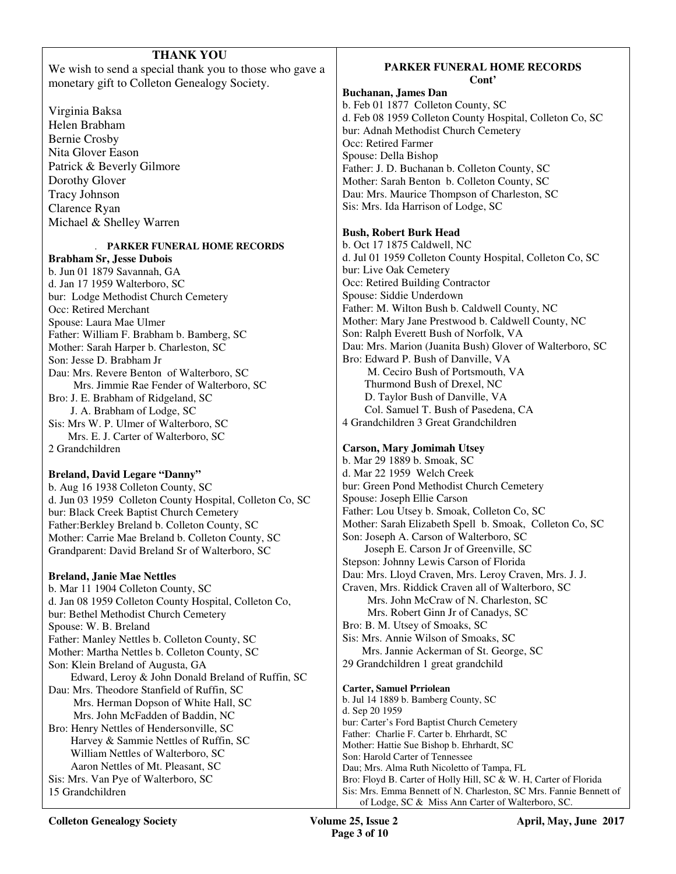# **THANK YOU**

We wish to send a special thank you to those who gave a monetary gift to Colleton Genealogy Society.

Virginia Baksa Helen Brabham Bernie Crosby Nita Glover Eason Patrick & Beverly Gilmore Dorothy Glover Tracy Johnson Clarence Ryan Michael & Shelley Warren

## . **PARKER FUNERAL HOME RECORDS**

**Brabham Sr, Jesse Dubois**  b. Jun 01 1879 Savannah, GA d. Jan 17 1959 Walterboro, SC bur: Lodge Methodist Church Cemetery Occ: Retired Merchant Spouse: Laura Mae Ulmer Father: William F. Brabham b. Bamberg, SC Mother: Sarah Harper b. Charleston, SC Son: Jesse D. Brabham Jr Dau: Mrs. Revere Benton of Walterboro, SC Mrs. Jimmie Rae Fender of Walterboro, SC Bro: J. E. Brabham of Ridgeland, SC J. A. Brabham of Lodge, SC Sis: Mrs W. P. Ulmer of Walterboro, SC Mrs. E. J. Carter of Walterboro, SC 2 Grandchildren

## **Breland, David Legare "Danny"**

b. Aug 16 1938 Colleton County, SC d. Jun 03 1959 Colleton County Hospital, Colleton Co, SC bur: Black Creek Baptist Church Cemetery Father:Berkley Breland b. Colleton County, SC Mother: Carrie Mae Breland b. Colleton County, SC Grandparent: David Breland Sr of Walterboro, SC

## **Breland, Janie Mae Nettles**

b. Mar 11 1904 Colleton County, SC d. Jan 08 1959 Colleton County Hospital, Colleton Co, bur: Bethel Methodist Church Cemetery Spouse: W. B. Breland Father: Manley Nettles b. Colleton County, SC Mother: Martha Nettles b. Colleton County, SC Son: Klein Breland of Augusta, GA Edward, Leroy & John Donald Breland of Ruffin, SC Dau: Mrs. Theodore Stanfield of Ruffin, SC Mrs. Herman Dopson of White Hall, SC Mrs. John McFadden of Baddin, NC Bro: Henry Nettles of Hendersonville, SC Harvey & Sammie Nettles of Ruffin, SC William Nettles of Walterboro, SC Aaron Nettles of Mt. Pleasant, SC Sis: Mrs. Van Pye of Walterboro, SC 15 Grandchildren

## **PARKER FUNERAL HOME RECORDS Cont'**

**Buchanan, James Dan** 

b. Feb 01 1877 Colleton County, SC d. Feb 08 1959 Colleton County Hospital, Colleton Co, SC bur: Adnah Methodist Church Cemetery Occ: Retired Farmer Spouse: Della Bishop Father: J. D. Buchanan b. Colleton County, SC Mother: Sarah Benton b. Colleton County, SC Dau: Mrs. Maurice Thompson of Charleston, SC Sis: Mrs. Ida Harrison of Lodge, SC

## **Bush, Robert Burk Head**

b. Oct 17 1875 Caldwell, NC d. Jul 01 1959 Colleton County Hospital, Colleton Co, SC bur: Live Oak Cemetery Occ: Retired Building Contractor Spouse: Siddie Underdown Father: M. Wilton Bush b. Caldwell County, NC Mother: Mary Jane Prestwood b. Caldwell County, NC Son: Ralph Everett Bush of Norfolk, VA Dau: Mrs. Marion (Juanita Bush) Glover of Walterboro, SC Bro: Edward P. Bush of Danville, VA M. Ceciro Bush of Portsmouth, VA Thurmond Bush of Drexel, NC D. Taylor Bush of Danville, VA Col. Samuel T. Bush of Pasedena, CA 4 Grandchildren 3 Great Grandchildren

## **Carson, Mary Jomimah Utsey**

b. Mar 29 1889 b. Smoak, SC d. Mar 22 1959 Welch Creek bur: Green Pond Methodist Church Cemetery Spouse: Joseph Ellie Carson Father: Lou Utsey b. Smoak, Colleton Co, SC Mother: Sarah Elizabeth Spell b. Smoak, Colleton Co, SC Son: Joseph A. Carson of Walterboro, SC Joseph E. Carson Jr of Greenville, SC Stepson: Johnny Lewis Carson of Florida Dau: Mrs. Lloyd Craven, Mrs. Leroy Craven, Mrs. J. J. Craven, Mrs. Riddick Craven all of Walterboro, SC Mrs. John McCraw of N. Charleston, SC Mrs. Robert Ginn Jr of Canadys, SC Bro: B. M. Utsey of Smoaks, SC Sis: Mrs. Annie Wilson of Smoaks, SC Mrs. Jannie Ackerman of St. George, SC 29 Grandchildren 1 great grandchild **Carter, Samuel Prriolean**  b. Jul 14 1889 b. Bamberg County, SC d. Sep 20 1959

bur: Carter's Ford Baptist Church Cemetery Father: Charlie F. Carter b. Ehrhardt, SC Mother: Hattie Sue Bishop b. Ehrhardt, SC Son: Harold Carter of Tennessee Dau; Mrs. Alma Ruth Nicoletto of Tampa, FL Bro: Floyd B. Carter of Holly Hill, SC & W. H, Carter of Florida Sis: Mrs. Emma Bennett of N. Charleston, SC Mrs. Fannie Bennett of of Lodge, SC & Miss Ann Carter of Walterboro, SC.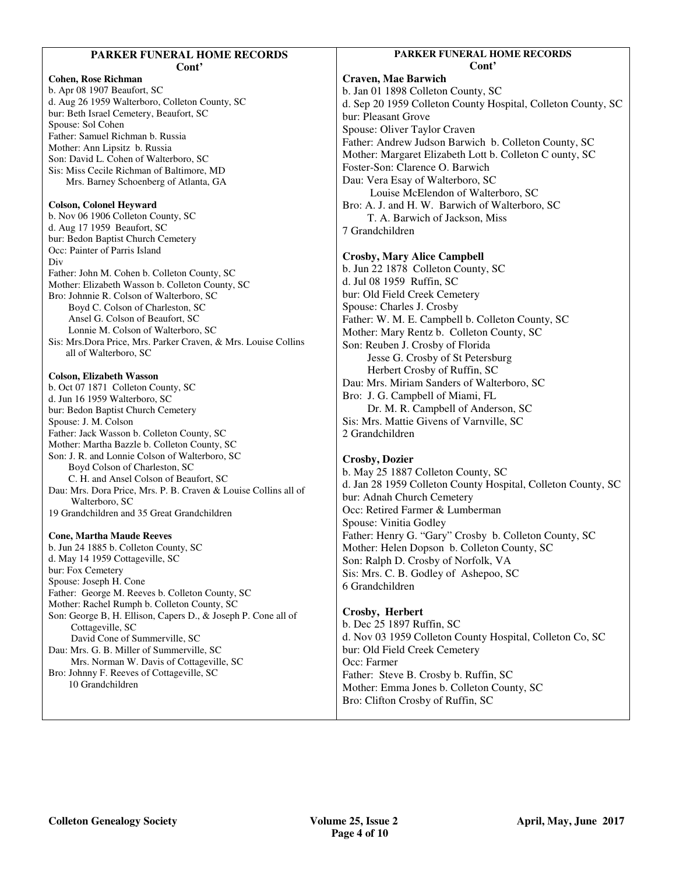| Cont'<br><b>Craven, Mae Barwich</b><br><b>Cohen, Rose Richman</b><br>b. Apr 08 1907 Beaufort, SC<br>b. Jan 01 1898 Colleton<br>d. Aug 26 1959 Walterboro, Colleton County, SC<br>d. Sep 20 1959 Colleton<br>bur: Beth Israel Cemetery, Beaufort, SC<br>bur: Pleasant Grove<br>Spouse: Sol Cohen<br>Spouse: Oliver Taylor C<br>Father: Samuel Richman b. Russia<br>Father: Andrew Judson 1<br>Mother: Ann Lipsitz b. Russia<br>Mother: Margaret Elizab<br>Son: David L. Cohen of Walterboro, SC<br>Foster-Son: Clarence O.<br>Sis: Miss Cecile Richman of Baltimore, MD                                                                                                                                                                                                                                                                                                                                                                                                                                                                                                                                                                                                                                                                                                                                                                                                                                                                                                                                                                                                                                                                                                                                                                                                                                                                                                                                                                                                                                                                                                                                                                                                                                                                                                                     |
|--------------------------------------------------------------------------------------------------------------------------------------------------------------------------------------------------------------------------------------------------------------------------------------------------------------------------------------------------------------------------------------------------------------------------------------------------------------------------------------------------------------------------------------------------------------------------------------------------------------------------------------------------------------------------------------------------------------------------------------------------------------------------------------------------------------------------------------------------------------------------------------------------------------------------------------------------------------------------------------------------------------------------------------------------------------------------------------------------------------------------------------------------------------------------------------------------------------------------------------------------------------------------------------------------------------------------------------------------------------------------------------------------------------------------------------------------------------------------------------------------------------------------------------------------------------------------------------------------------------------------------------------------------------------------------------------------------------------------------------------------------------------------------------------------------------------------------------------------------------------------------------------------------------------------------------------------------------------------------------------------------------------------------------------------------------------------------------------------------------------------------------------------------------------------------------------------------------------------------------------------------------------------------------------|
| Dau: Vera Esay of Walte<br>Mrs. Barney Schoenberg of Atlanta, GA<br>Louise McElendor<br><b>Colson, Colonel Heyward</b><br>Bro: A. J. and H. W. Ba<br>b. Nov 06 1906 Colleton County, SC<br>T. A. Barwich of J.<br>d. Aug 17 1959 Beaufort, SC<br>7 Grandchildren<br>bur: Bedon Baptist Church Cemetery<br>Occ: Painter of Parris Island<br><b>Crosby, Mary Alice Ca</b><br>Div<br>b. Jun 22 1878 Colleton<br>Father: John M. Cohen b. Colleton County, SC<br>d. Jul 08 1959 Ruffin, S<br>Mother: Elizabeth Wasson b. Colleton County, SC<br>bur: Old Field Creek Ce<br>Bro: Johnnie R. Colson of Walterboro, SC<br>Spouse: Charles J. Crosb<br>Boyd C. Colson of Charleston, SC<br>Ansel G. Colson of Beaufort, SC<br>Father: W. M. E. Campb<br>Lonnie M. Colson of Walterboro, SC<br>Mother: Mary Rentz b.<br>Sis: Mrs.Dora Price, Mrs. Parker Craven, & Mrs. Louise Collins<br>Son: Reuben J. Crosby c<br>all of Walterboro, SC<br>Jesse G. Crosby of<br>Herbert Crosby of<br><b>Colson, Elizabeth Wasson</b><br>Dau: Mrs. Miriam Sande<br>b. Oct 07 1871 Colleton County, SC<br>Bro: J. G. Campbell of 1<br>d. Jun 16 1959 Walterboro, SC<br>Dr. M. R. Campbe<br>bur: Bedon Baptist Church Cemetery<br>Sis: Mrs. Mattie Givens<br>Spouse: J. M. Colson<br>Father: Jack Wasson b. Colleton County, SC<br>2 Grandchildren<br>Mother: Martha Bazzle b. Colleton County, SC<br>Son: J. R. and Lonnie Colson of Walterboro, SC<br><b>Crosby, Dozier</b><br>Boyd Colson of Charleston, SC<br>b. May 25 1887 Colletor<br>C. H. and Ansel Colson of Beaufort, SC<br>d. Jan 28 1959 Colleton<br>Dau: Mrs. Dora Price, Mrs. P. B. Craven & Louise Collins all of<br>bur: Adnah Church Cem<br>Walterboro, SC<br>Occ: Retired Farmer & I<br>19 Grandchildren and 35 Great Grandchildren<br>Spouse: Vinitia Godley<br>Father: Henry G. "Gary"<br><b>Cone, Martha Maude Reeves</b><br>b. Jun 24 1885 b. Colleton County, SC<br>Mother: Helen Dopson<br>d. May 14 1959 Cottageville, SC<br>Son: Ralph D. Crosby of<br>bur: Fox Cemetery<br>Sis: Mrs. C. B. Godley o<br>Spouse: Joseph H. Cone<br>6 Grandchildren<br>Father: George M. Reeves b. Colleton County, SC<br>Mother: Rachel Rumph b. Colleton County, SC<br>Crosby, Herbert<br>Son: George B, H. Ellison, Capers D., & Joseph P. Cone all of |

#### **PARKER FUNDER RECORDS Cont'**

County, SC County Hospital, Colleton County, SC `raven Barwich b. Colleton County, SC beth Lott b. Colleton C ounty, SC Barwich erboro, SC n of Walterboro, SC arwich of Walterboro, SC Jackson, Miss **Crosby, Mary Alice Campbell**  l County, SC d. Jul 08 1959 Ruffin, SC metery Spouse: Charles J. Crosby bell b. Colleton County, SC Colleton County, SC of Florida St Petersburg Ruffin, SC ers of Walterboro, SC

Miami, FL ell of Anderson, SC of Varnville, SC

n County, SC County Hospital, Colleton County, SC etery Lumberman " Crosby b. Colleton County, SC b. Colleton County, SC f Norfolk, VA of Ashepoo, SC.

 $\mathop{\rm SC}$ n County Hospital, Colleton Co, SC metery  $\gamma$  b. Ruffin, SC Colleton County, SC Ruffin, SC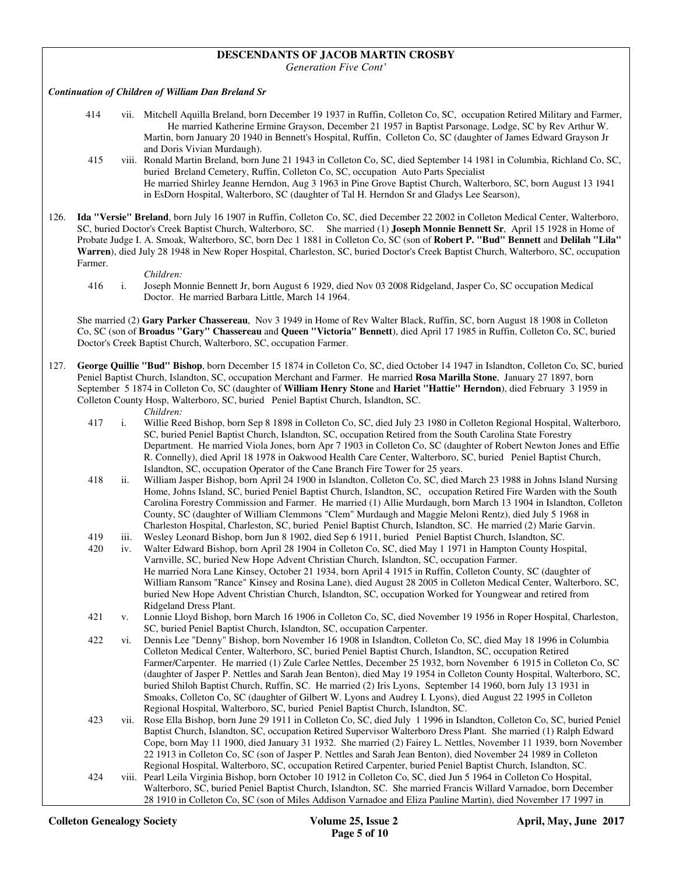## **DESCENDANTS OF JACOB MARTIN CROSBY**

*Generation Five Cont'* 

#### *Continuation of Children of William Dan Breland Sr*

- 414 vii. Mitchell Aquilla Breland, born December 19 1937 in Ruffin, Colleton Co, SC, occupation Retired Military and Farmer, He married Katherine Ermine Grayson, December 21 1957 in Baptist Parsonage, Lodge, SC by Rev Arthur W. Martin, born January 20 1940 in Bennett's Hospital, Ruffin, Colleton Co, SC (daughter of James Edward Grayson Jr and Doris Vivian Murdaugh).
- 415 viii. Ronald Martin Breland, born June 21 1943 in Colleton Co, SC, died September 14 1981 in Columbia, Richland Co, SC, buried Breland Cemetery, Ruffin, Colleton Co, SC, occupation Auto Parts Specialist He married Shirley Jeanne Herndon, Aug 3 1963 in Pine Grove Baptist Church, Walterboro, SC, born August 13 1941 in EsDorn Hospital, Walterboro, SC (daughter of Tal H. Herndon Sr and Gladys Lee Searson),
- 126. **Ida "Versie" Breland**, born July 16 1907 in Ruffin, Colleton Co, SC, died December 22 2002 in Colleton Medical Center, Walterboro, SC, buried Doctor's Creek Baptist Church, Walterboro, SC. She married (1) **Joseph Monnie Bennett Sr**, April 15 1928 in Home of Probate Judge I. A. Smoak, Walterboro, SC, born Dec 1 1881 in Colleton Co, SC (son of **Robert P. "Bud" Bennett** and **Delilah "Lila" Warren**), died July 28 1948 in New Roper Hospital, Charleston, SC, buried Doctor's Creek Baptist Church, Walterboro, SC, occupation Farmer.
	- *Children:*<br>416 i. Joseph Mo
		- 416 i. Joseph Monnie Bennett Jr, born August 6 1929, died Nov 03 2008 Ridgeland, Jasper Co, SC occupation Medical Doctor. He married Barbara Little, March 14 1964.

 She married (2) **Gary Parker Chassereau**, Nov 3 1949 in Home of Rev Walter Black, Ruffin, SC, born August 18 1908 in Colleton Co, SC (son of **Broadus "Gary" Chassereau** and **Queen "Victoria" Bennett**), died April 17 1985 in Ruffin, Colleton Co, SC, buried Doctor's Creek Baptist Church, Walterboro, SC, occupation Farmer.

127. **George Quillie "Bud" Bishop**, born December 15 1874 in Colleton Co, SC, died October 14 1947 in Islandton, Colleton Co, SC, buried Peniel Baptist Church, Islandton, SC, occupation Merchant and Farmer. He married **Rosa Marilla Stone**, January 27 1897, born September 5 1874 in Colleton Co, SC (daughter of **William Henry Stone** and **Hariet "Hattie" Herndon**), died February 3 1959 in Colleton County Hosp, Walterboro, SC, buried Peniel Baptist Church, Islandton, SC.

#### *Children:*

- 417 i. Willie Reed Bishop, born Sep 8 1898 in Colleton Co, SC, died July 23 1980 in Colleton Regional Hospital, Walterboro, SC, buried Peniel Baptist Church, Islandton, SC, occupation Retired from the South Carolina State Forestry Department. He married Viola Jones, born Apr 7 1903 in Colleton Co, SC (daughter of Robert Newton Jones and Effie R. Connelly), died April 18 1978 in Oakwood Health Care Center, Walterboro, SC, buried Peniel Baptist Church, Islandton, SC, occupation Operator of the Cane Branch Fire Tower for 25 years.
- 418 ii. William Jasper Bishop, born April 24 1900 in Islandton, Colleton Co, SC, died March 23 1988 in Johns Island Nursing Home, Johns Island, SC, buried Peniel Baptist Church, Islandton, SC, occupation Retired Fire Warden with the South Carolina Forestry Commission and Farmer. He married (1) Allie Murdaugh, born March 13 1904 in Islandton, Colleton County, SC (daughter of William Clemmons "Clem" Murdaugh and Maggie Meloni Rentz), died July 5 1968 in Charleston Hospital, Charleston, SC, buried Peniel Baptist Church, Islandton, SC. He married (2) Marie Garvin.
- 419 iii. Wesley Leonard Bishop, born Jun 8 1902, died Sep 6 1911, buried Peniel Baptist Church, Islandton, SC.
- 420 iv. Walter Edward Bishop, born April 28 1904 in Colleton Co, SC, died May 1 1971 in Hampton County Hospital, Varnville, SC, buried New Hope Advent Christian Church, Islandton, SC, occupation Farmer. He married Nora Lane Kinsey, October 21 1934, born April 4 1915 in Ruffin, Colleton County, SC (daughter of William Ransom "Rance" Kinsey and Rosina Lane), died August 28 2005 in Colleton Medical Center, Walterboro, SC, buried New Hope Advent Christian Church, Islandton, SC, occupation Worked for Youngwear and retired from Ridgeland Dress Plant.
- 421 v. Lonnie Lloyd Bishop, born March 16 1906 in Colleton Co, SC, died November 19 1956 in Roper Hospital, Charleston, SC, buried Peniel Baptist Church, Islandton, SC, occupation Carpenter.
- 422 vi. Dennis Lee "Denny" Bishop, born November 16 1908 in Islandton, Colleton Co, SC, died May 18 1996 in Columbia Colleton Medical Center, Walterboro, SC, buried Peniel Baptist Church, Islandton, SC, occupation Retired Farmer/Carpenter. He married (1) Zule Carlee Nettles, December 25 1932, born November 6 1915 in Colleton Co, SC (daughter of Jasper P. Nettles and Sarah Jean Benton), died May 19 1954 in Colleton County Hospital, Walterboro, SC, buried Shiloh Baptist Church, Ruffin, SC. He married (2) Iris Lyons, September 14 1960, born July 13 1931 in Smoaks, Colleton Co, SC (daughter of Gilbert W. Lyons and Audrey I. Lyons), died August 22 1995 in Colleton Regional Hospital, Walterboro, SC, buried Peniel Baptist Church, Islandton, SC.
- 423 vii. Rose Ella Bishop, born June 29 1911 in Colleton Co, SC, died July 1 1996 in Islandton, Colleton Co, SC, buried Peniel Baptist Church, Islandton, SC, occupation Retired Supervisor Walterboro Dress Plant. She married (1) Ralph Edward Cope, born May 11 1900, died January 31 1932. She married (2) Fairey L. Nettles, November 11 1939, born November 22 1913 in Colleton Co, SC (son of Jasper P. Nettles and Sarah Jean Benton), died November 24 1989 in Colleton Regional Hospital, Walterboro, SC, occupation Retired Carpenter, buried Peniel Baptist Church, Islandton, SC.
- 424 viii. Pearl Leila Virginia Bishop, born October 10 1912 in Colleton Co, SC, died Jun 5 1964 in Colleton Co Hospital, Walterboro, SC, buried Peniel Baptist Church, Islandton, SC. She married Francis Willard Varnadoe, born December 28 1910 in Colleton Co, SC (son of Miles Addison Varnadoe and Eliza Pauline Martin), died November 17 1997 in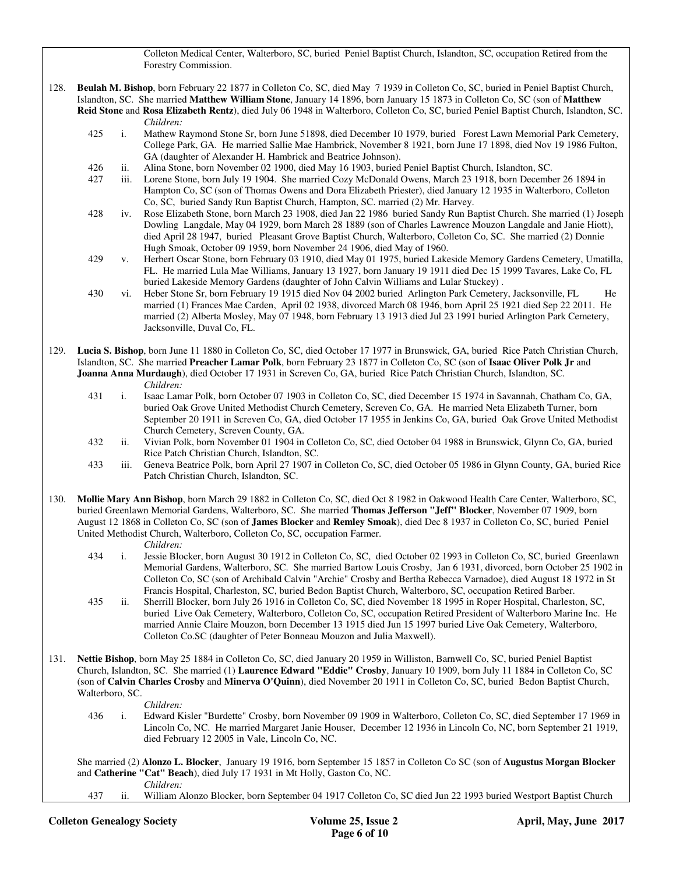Colleton Medical Center, Walterboro, SC, buried Peniel Baptist Church, Islandton, SC, occupation Retired from the Forestry Commission.

- 128. **Beulah M. Bishop**, born February 22 1877 in Colleton Co, SC, died May 7 1939 in Colleton Co, SC, buried in Peniel Baptist Church, Islandton, SC. She married **Matthew William Stone**, January 14 1896, born January 15 1873 in Colleton Co, SC (son of **Matthew Reid Stone** and **Rosa Elizabeth Rentz**), died July 06 1948 in Walterboro, Colleton Co, SC, buried Peniel Baptist Church, Islandton, SC.
	- *Children:*<br>425 i. Mathew F i. Mathew Raymond Stone Sr, born June 51898, died December 10 1979, buried Forest Lawn Memorial Park Cemetery, College Park, GA. He married Sallie Mae Hambrick, November 8 1921, born June 17 1898, died Nov 19 1986 Fulton, GA (daughter of Alexander H. Hambrick and Beatrice Johnson).
	- 426 ii. Alina Stone, born November 02 1900, died May 16 1903, buried Peniel Baptist Church, Islandton, SC.
	- 427 iii. Lorene Stone, born July 19 1904. She married Cozy McDonald Owens, March 23 1918, born December 26 1894 in Hampton Co, SC (son of Thomas Owens and Dora Elizabeth Priester), died January 12 1935 in Walterboro, Colleton Co, SC, buried Sandy Run Baptist Church, Hampton, SC. married (2) Mr. Harvey.
	- 428 iv. Rose Elizabeth Stone, born March 23 1908, died Jan 22 1986 buried Sandy Run Baptist Church. She married (1) Joseph Dowling Langdale, May 04 1929, born March 28 1889 (son of Charles Lawrence Mouzon Langdale and Janie Hiott), died April 28 1947, buried Pleasant Grove Baptist Church, Walterboro, Colleton Co, SC. She married (2) Donnie Hugh Smoak, October 09 1959, born November 24 1906, died May of 1960.
	- 429 v. Herbert Oscar Stone, born February 03 1910, died May 01 1975, buried Lakeside Memory Gardens Cemetery, Umatilla, FL. He married Lula Mae Williams, January 13 1927, born January 19 1911 died Dec 15 1999 Tavares, Lake Co, FL buried Lakeside Memory Gardens (daughter of John Calvin Williams and Lular Stuckey) .
	- 430 vi. Heber Stone Sr, born February 19 1915 died Nov 04 2002 buried Arlington Park Cemetery, Jacksonville, FL He married (1) Frances Mae Carden, April 02 1938, divorced March 08 1946, born April 25 1921 died Sep 22 2011. He married (2) Alberta Mosley, May 07 1948, born February 13 1913 died Jul 23 1991 buried Arlington Park Cemetery, Jacksonville, Duval Co, FL.
- 129. **Lucia S. Bishop**, born June 11 1880 in Colleton Co, SC, died October 17 1977 in Brunswick, GA, buried Rice Patch Christian Church, Islandton, SC. She married **Preacher Lamar Polk**, born February 23 1877 in Colleton Co, SC (son of **Isaac Oliver Polk Jr** and **Joanna Anna Murdaugh**), died October 17 1931 in Screven Co, GA, buried Rice Patch Christian Church, Islandton, SC. *Children:*
	- 431 i. Isaac Lamar Polk, born October 07 1903 in Colleton Co, SC, died December 15 1974 in Savannah, Chatham Co, GA, buried Oak Grove United Methodist Church Cemetery, Screven Co, GA. He married Neta Elizabeth Turner, born September 20 1911 in Screven Co, GA, died October 17 1955 in Jenkins Co, GA, buried Oak Grove United Methodist Church Cemetery, Screven County, GA.
	- 432 ii. Vivian Polk, born November 01 1904 in Colleton Co, SC, died October 04 1988 in Brunswick, Glynn Co, GA, buried Rice Patch Christian Church, Islandton, SC.
	- 433 iii. Geneva Beatrice Polk, born April 27 1907 in Colleton Co, SC, died October 05 1986 in Glynn County, GA, buried Rice Patch Christian Church, Islandton, SC.
- 130. **Mollie Mary Ann Bishop**, born March 29 1882 in Colleton Co, SC, died Oct 8 1982 in Oakwood Health Care Center, Walterboro, SC, buried Greenlawn Memorial Gardens, Walterboro, SC. She married **Thomas Jefferson "Jeff" Blocker**, November 07 1909, born August 12 1868 in Colleton Co, SC (son of **James Blocker** and **Remley Smoak**), died Dec 8 1937 in Colleton Co, SC, buried Peniel United Methodist Church, Walterboro, Colleton Co, SC, occupation Farmer.
	- *Children:*
	- 434 i. Jessie Blocker, born August 30 1912 in Colleton Co, SC, died October 02 1993 in Colleton Co, SC, buried Greenlawn Memorial Gardens, Walterboro, SC. She married Bartow Louis Crosby, Jan 6 1931, divorced, born October 25 1902 in Colleton Co, SC (son of Archibald Calvin "Archie" Crosby and Bertha Rebecca Varnadoe), died August 18 1972 in St Francis Hospital, Charleston, SC, buried Bedon Baptist Church, Walterboro, SC, occupation Retired Barber.
	- 435 ii. Sherrill Blocker, born July 26 1916 in Colleton Co, SC, died November 18 1995 in Roper Hospital, Charleston, SC, buried Live Oak Cemetery, Walterboro, Colleton Co, SC, occupation Retired President of Walterboro Marine Inc. He married Annie Claire Mouzon, born December 13 1915 died Jun 15 1997 buried Live Oak Cemetery, Walterboro, Colleton Co.SC (daughter of Peter Bonneau Mouzon and Julia Maxwell).
- 131. **Nettie Bishop**, born May 25 1884 in Colleton Co, SC, died January 20 1959 in Williston, Barnwell Co, SC, buried Peniel Baptist Church, Islandton, SC. She married (1) **Laurence Edward "Eddie" Crosby**, January 10 1909, born July 11 1884 in Colleton Co, SC (son of **Calvin Charles Crosby** and **Minerva O'Quinn**), died November 20 1911 in Colleton Co, SC, buried Bedon Baptist Church, Walterboro, SC.
	- *Children:*
	- 436 i. Edward Kisler "Burdette" Crosby, born November 09 1909 in Walterboro, Colleton Co, SC, died September 17 1969 in Lincoln Co, NC. He married Margaret Janie Houser, December 12 1936 in Lincoln Co, NC, born September 21 1919, died February 12 2005 in Vale, Lincoln Co, NC.

 She married (2) **Alonzo L. Blocker**, January 19 1916, born September 15 1857 in Colleton Co SC (son of **Augustus Morgan Blocker** and **Catherine "Cat" Beach**), died July 17 1931 in Mt Holly, Gaston Co, NC.

- *Children:*
- 437 ii. William Alonzo Blocker, born September 04 1917 Colleton Co, SC died Jun 22 1993 buried Westport Baptist Church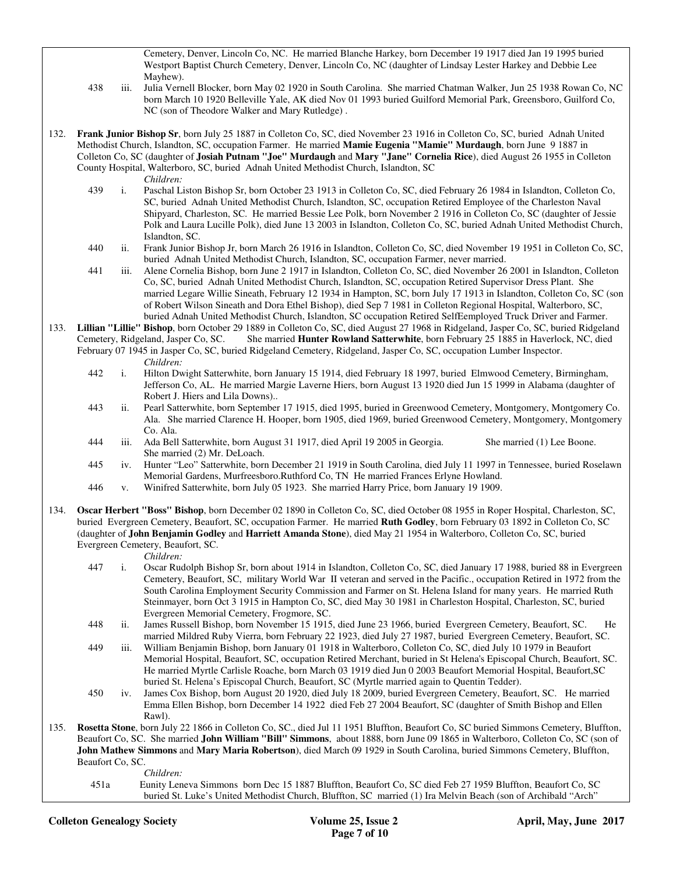Cemetery, Denver, Lincoln Co, NC. He married Blanche Harkey, born December 19 1917 died Jan 19 1995 buried Westport Baptist Church Cemetery, Denver, Lincoln Co, NC (daughter of Lindsay Lester Harkey and Debbie Lee Mayhew).

- 438 iii. Julia Vernell Blocker, born May 02 1920 in South Carolina. She married Chatman Walker, Jun 25 1938 Rowan Co, NC born March 10 1920 Belleville Yale, AK died Nov 01 1993 buried Guilford Memorial Park, Greensboro, Guilford Co, NC (son of Theodore Walker and Mary Rutledge) .
- 132. **Frank Junior Bishop Sr**, born July 25 1887 in Colleton Co, SC, died November 23 1916 in Colleton Co, SC, buried Adnah United Methodist Church, Islandton, SC, occupation Farmer. He married **Mamie Eugenia "Mamie" Murdaugh**, born June 9 1887 in Colleton Co, SC (daughter of **Josiah Putnam "Joe" Murdaugh** and **Mary "Jane" Cornelia Rice**), died August 26 1955 in Colleton County Hospital, Walterboro, SC, buried Adnah United Methodist Church, Islandton, SC
	-
	- *Children:*<br>439 i. Paschal Li i. Paschal Liston Bishop Sr, born October 23 1913 in Colleton Co, SC, died February 26 1984 in Islandton, Colleton Co, SC, buried Adnah United Methodist Church, Islandton, SC, occupation Retired Employee of the Charleston Naval Shipyard, Charleston, SC. He married Bessie Lee Polk, born November 2 1916 in Colleton Co, SC (daughter of Jessie Polk and Laura Lucille Polk), died June 13 2003 in Islandton, Colleton Co, SC, buried Adnah United Methodist Church, Islandton, SC.
	- 440 ii. Frank Junior Bishop Jr, born March 26 1916 in Islandton, Colleton Co, SC, died November 19 1951 in Colleton Co, SC, buried Adnah United Methodist Church, Islandton, SC, occupation Farmer, never married.
	- 441 iii. Alene Cornelia Bishop, born June 2 1917 in Islandton, Colleton Co, SC, died November 26 2001 in Islandton, Colleton Co, SC, buried Adnah United Methodist Church, Islandton, SC, occupation Retired Supervisor Dress Plant. She married Legare Willie Sineath, February 12 1934 in Hampton, SC, born July 17 1913 in Islandton, Colleton Co, SC (son of Robert Wilson Sineath and Dora Ethel Bishop), died Sep 7 1981 in Colleton Regional Hospital, Walterboro, SC, buried Adnah United Methodist Church, Islandton, SC occupation Retired SelfEemployed Truck Driver and Farmer.
- 133. **Lillian "Lillie" Bishop**, born October 29 1889 in Colleton Co, SC, died August 27 1968 in Ridgeland, Jasper Co, SC, buried Ridgeland Cemetery, Ridgeland, Jasper Co, SC. She married **Hunter Rowland Satterwhite**, born She married Hunter Rowland Satterwhite, born February 25 1885 in Haverlock, NC, died February 07 1945 in Jasper Co, SC, buried Ridgeland Cemetery, Ridgeland, Jasper Co, SC, occupation Lumber Inspector. *Children:*
	- 442 i. Hilton Dwight Satterwhite, born January 15 1914, died February 18 1997, buried Elmwood Cemetery, Birmingham, Jefferson Co, AL. He married Margie Laverne Hiers, born August 13 1920 died Jun 15 1999 in Alabama (daughter of Robert J. Hiers and Lila Downs)..
	- 443 ii. Pearl Satterwhite, born September 17 1915, died 1995, buried in Greenwood Cemetery, Montgomery, Montgomery Co. Ala. She married Clarence H. Hooper, born 1905, died 1969, buried Greenwood Cemetery, Montgomery, Montgomery Co. Ala.
	- 444 iii. Ada Bell Satterwhite, born August 31 1917, died April 19 2005 in Georgia. She married (1) Lee Boone. She married (2) Mr. DeLoach.
	- 445 iv. Hunter "Leo" Satterwhite, born December 21 1919 in South Carolina, died July 11 1997 in Tennessee, buried Roselawn Memorial Gardens, Murfreesboro.Ruthford Co, TN He married Frances Erlyne Howland.
	- 446 v. Winifred Satterwhite, born July 05 1923. She married Harry Price, born January 19 1909.
- 134. **Oscar Herbert "Boss" Bishop**, born December 02 1890 in Colleton Co, SC, died October 08 1955 in Roper Hospital, Charleston, SC, buried Evergreen Cemetery, Beaufort, SC, occupation Farmer. He married **Ruth Godley**, born February 03 1892 in Colleton Co, SC (daughter of **John Benjamin Godley** and **Harriett Amanda Stone**), died May 21 1954 in Walterboro, Colleton Co, SC, buried Evergreen Cemetery, Beaufort, SC.

*Children:*

- 447 i. Oscar Rudolph Bishop Sr, born about 1914 in Islandton, Colleton Co, SC, died January 17 1988, buried 88 in Evergreen Cemetery, Beaufort, SC, military World War II veteran and served in the Pacific., occupation Retired in 1972 from the South Carolina Employment Security Commission and Farmer on St. Helena Island for many years. He married Ruth Steinmayer, born Oct 3 1915 in Hampton Co, SC, died May 30 1981 in Charleston Hospital, Charleston, SC, buried Evergreen Memorial Cemetery, Frogmore, SC.
- 448 ii. James Russell Bishop, born November 15 1915, died June 23 1966, buried Evergreen Cemetery, Beaufort, SC. He married Mildred Ruby Vierra, born February 22 1923, died July 27 1987, buried Evergreen Cemetery, Beaufort, SC.
- 449 iii. William Benjamin Bishop, born January 01 1918 in Walterboro, Colleton Co, SC, died July 10 1979 in Beaufort Memorial Hospital, Beaufort, SC, occupation Retired Merchant, buried in St Helena's Episcopal Church, Beaufort, SC. He married Myrtle Carlisle Roache, born March 03 1919 died Jun 0 2003 Beaufort Memorial Hospital, Beaufort,SC buried St. Helena's Episcopal Church, Beaufort, SC (Myrtle married again to Quentin Tedder).
- 450 iv. James Cox Bishop, born August 20 1920, died July 18 2009, buried Evergreen Cemetery, Beaufort, SC. He married Emma Ellen Bishop, born December 14 1922 died Feb 27 2004 Beaufort, SC (daughter of Smith Bishop and Ellen Rawl).
- 135. **Rosetta Stone**, born July 22 1866 in Colleton Co, SC., died Jul 11 1951 Bluffton, Beaufort Co, SC buried Simmons Cemetery, Bluffton, Beaufort Co, SC. She married **John William "Bill" Simmons**, about 1888, born June 09 1865 in Walterboro, Colleton Co, SC (son of **John Mathew Simmons** and **Mary Maria Robertson**), died March 09 1929 in South Carolina, buried Simmons Cemetery, Bluffton, Beaufort Co, SC.

*Children:*<br>451a **Eunity** Len 451a Eunity Leneva Simmons born Dec 15 1887 Bluffton, Beaufort Co, SC died Feb 27 1959 Bluffton, Beaufort Co, SC buried St. Luke's United Methodist Church, Bluffton, SC married (1) Ira Melvin Beach (son of Archibald "Arch"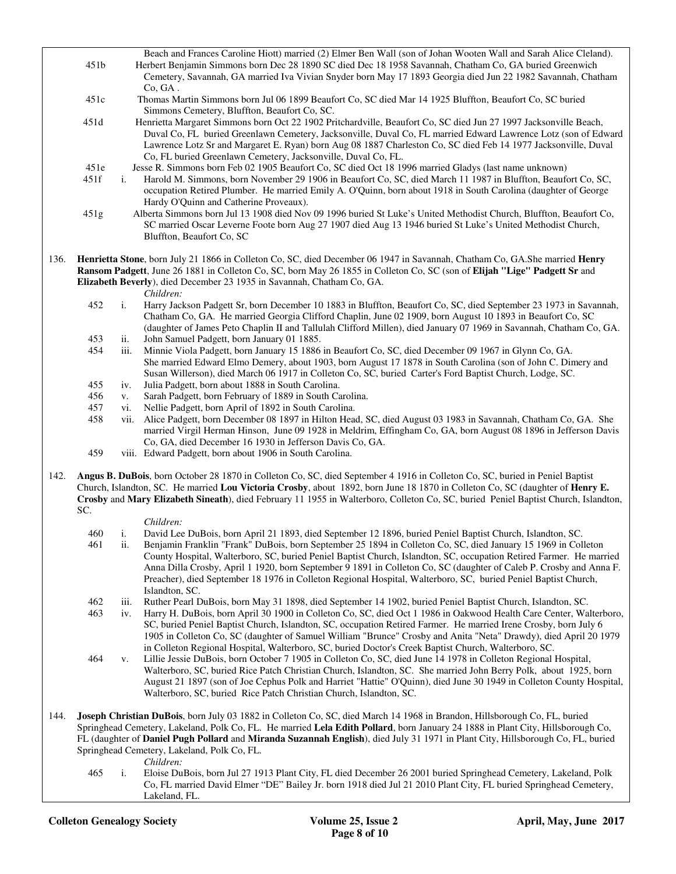Beach and Frances Caroline Hiott) married (2) Elmer Ben Wall (son of Johan Wooten Wall and Sarah Alice Cleland). 451b Herbert Benjamin Simmons born Dec 28 1890 SC died Dec 18 1958 Savannah, Chatham Co, GA buried Greenwich Cemetery, Savannah, GA married Iva Vivian Snyder born May 17 1893 Georgia died Jun 22 1982 Savannah, Chatham Co, GA . 451c Thomas Martin Simmons born Jul 06 1899 Beaufort Co, SC died Mar 14 1925 Bluffton, Beaufort Co, SC buried Simmons Cemetery, Bluffton, Beaufort Co, SC. 451d Henrietta Margaret Simmons born Oct 22 1902 Pritchardville, Beaufort Co, SC died Jun 27 1997 Jacksonville Beach, Duval Co, FL buried Greenlawn Cemetery, Jacksonville, Duval Co, FL married Edward Lawrence Lotz (son of Edward Lawrence Lotz Sr and Margaret E. Ryan) born Aug 08 1887 Charleston Co, SC died Feb 14 1977 Jacksonville, Duval Co, FL buried Greenlawn Cemetery, Jacksonville, Duval Co, FL. 451e Jesse R. Simmons born Feb 02 1905 Beaufort Co, SC died Oct 18 1996 married Gladys (last name unknown) 451f i. Harold M. Simmons, born November 29 1906 in Beaufort Co, SC, died March 11 1987 in Bluffton, Beaufort Co, SC, occupation Retired Plumber. He married Emily A. O'Quinn, born about 1918 in South Carolina (daughter of George Hardy O'Quinn and Catherine Proveaux). 451g Alberta Simmons born Jul 13 1908 died Nov 09 1996 buried St Luke's United Methodist Church, Bluffton, Beaufort Co, SC married Oscar Leverne Foote born Aug 27 1907 died Aug 13 1946 buried St Luke's United Methodist Church, Bluffton, Beaufort Co, SC 136. **Henrietta Stone**, born July 21 1866 in Colleton Co, SC, died December 06 1947 in Savannah, Chatham Co, GA.She married **Henry Ransom Padgett**, June 26 1881 in Colleton Co, SC, born May 26 1855 in Colleton Co, SC (son of **Elijah "Lige" Padgett Sr** and **Elizabeth Beverly**), died December 23 1935 in Savannah, Chatham Co, GA. *Children:* 452 i. Harry Jackson Padgett Sr, born December 10 1883 in Bluffton, Beaufort Co, SC, died September 23 1973 in Savannah, Chatham Co, GA. He married Georgia Clifford Chaplin, June 02 1909, born August 10 1893 in Beaufort Co, SC (daughter of James Peto Chaplin II and Tallulah Clifford Millen), died January 07 1969 in Savannah, Chatham Co, GA. 453 ii. John Samuel Padgett, born January 01 1885. 454 iii. Minnie Viola Padgett, born January 15 1886 in Beaufort Co, SC, died December 09 1967 in Glynn Co, GA. She married Edward Elmo Demery, about 1903, born August 17 1878 in South Carolina (son of John C. Dimery and Susan Willerson), died March 06 1917 in Colleton Co, SC, buried Carter's Ford Baptist Church, Lodge, SC. 455 iv. Julia Padgett, born about 1888 in South Carolina. 456 v. Sarah Padgett, born February of 1889 in South Carolina. 457 vi. Nellie Padgett, born April of 1892 in South Carolina. 458 vii. Alice Padgett, born December 08 1897 in Hilton Head, SC, died August 03 1983 in Savannah, Chatham Co, GA. She married Virgil Herman Hinson, June 09 1928 in Meldrim, Effingham Co, GA, born August 08 1896 in Jefferson Davis Co, GA, died December 16 1930 in Jefferson Davis Co, GA. 459 viii. Edward Padgett, born about 1906 in South Carolina. 142. **Angus B. DuBois**, born October 28 1870 in Colleton Co, SC, died September 4 1916 in Colleton Co, SC, buried in Peniel Baptist Church, Islandton, SC. He married **Lou Victoria Crosby**, about 1892, born June 18 1870 in Colleton Co, SC (daughter of **Henry E. Crosby** and **Mary Elizabeth Sineath**), died February 11 1955 in Walterboro, Colleton Co, SC, buried Peniel Baptist Church, Islandton, SC.

- *Children:*<br>460 i. David Lee 460 i. David Lee DuBois, born April 21 1893, died September 12 1896, buried Peniel Baptist Church, Islandton, SC.
- ii. Benjamin Franklin "Frank" DuBois, born September 25 1894 in Colleton Co, SC, died January 15 1969 in Colleton County Hospital, Walterboro, SC, buried Peniel Baptist Church, Islandton, SC, occupation Retired Farmer. He married Anna Dilla Crosby, April 1 1920, born September 9 1891 in Colleton Co, SC (daughter of Caleb P. Crosby and Anna F. Preacher), died September 18 1976 in Colleton Regional Hospital, Walterboro, SC, buried Peniel Baptist Church, Islandton, SC.
- 462 iii. Ruther Pearl DuBois, born May 31 1898, died September 14 1902, buried Peniel Baptist Church, Islandton, SC.
- 463 iv. Harry H. DuBois, born April 30 1900 in Colleton Co, SC, died Oct 1 1986 in Oakwood Health Care Center, Walterboro, SC, buried Peniel Baptist Church, Islandton, SC, occupation Retired Farmer. He married Irene Crosby, born July 6 1905 in Colleton Co, SC (daughter of Samuel William "Brunce" Crosby and Anita "Neta" Drawdy), died April 20 1979 in Colleton Regional Hospital, Walterboro, SC, buried Doctor's Creek Baptist Church, Walterboro, SC.
- 464 v. Lillie Jessie DuBois, born October 7 1905 in Colleton Co, SC, died June 14 1978 in Colleton Regional Hospital, Walterboro, SC, buried Rice Patch Christian Church, Islandton, SC. She married John Berry Polk, about 1925, born August 21 1897 (son of Joe Cephus Polk and Harriet "Hattie" O'Quinn), died June 30 1949 in Colleton County Hospital, Walterboro, SC, buried Rice Patch Christian Church, Islandton, SC.
- 144. **Joseph Christian DuBois**, born July 03 1882 in Colleton Co, SC, died March 14 1968 in Brandon, Hillsborough Co, FL, buried Springhead Cemetery, Lakeland, Polk Co, FL. He married **Lela Edith Pollard**, born January 24 1888 in Plant City, Hillsborough Co, FL (daughter of **Daniel Pugh Pollard** and **Miranda Suzannah English**), died July 31 1971 in Plant City, Hillsborough Co, FL, buried Springhead Cemetery, Lakeland, Polk Co, FL.
	- *Children:*<br>465 i. Eloise Du i. Eloise DuBois, born Jul 27 1913 Plant City, FL died December 26 2001 buried Springhead Cemetery, Lakeland, Polk Co, FL married David Elmer "DE" Bailey Jr. born 1918 died Jul 21 2010 Plant City, FL buried Springhead Cemetery, Lakeland, FL.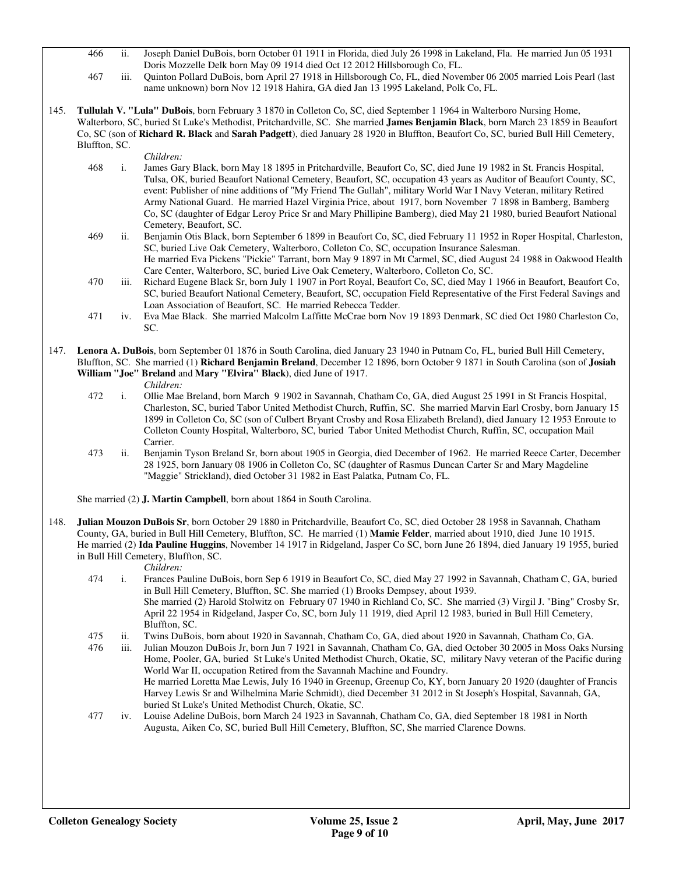- 466 ii. Joseph Daniel DuBois, born October 01 1911 in Florida, died July 26 1998 in Lakeland, Fla. He married Jun 05 1931 Doris Mozzelle Delk born May 09 1914 died Oct 12 2012 Hillsborough Co, FL.
- 467 iii. Quinton Pollard DuBois, born April 27 1918 in Hillsborough Co, FL, died November 06 2005 married Lois Pearl (last name unknown) born Nov 12 1918 Hahira, GA died Jan 13 1995 Lakeland, Polk Co, FL.
- 145. **Tullulah V. "Lula" DuBois**, born February 3 1870 in Colleton Co, SC, died September 1 1964 in Walterboro Nursing Home, Walterboro, SC, buried St Luke's Methodist, Pritchardville, SC. She married **James Benjamin Black**, born March 23 1859 in Beaufort Co, SC (son of **Richard R. Black** and **Sarah Padgett**), died January 28 1920 in Bluffton, Beaufort Co, SC, buried Bull Hill Cemetery, Bluffton, SC.

#### *Children:*

- 468 i. James Gary Black, born May 18 1895 in Pritchardville, Beaufort Co, SC, died June 19 1982 in St. Francis Hospital, Tulsa, OK, buried Beaufort National Cemetery, Beaufort, SC, occupation 43 years as Auditor of Beaufort County, SC, event: Publisher of nine additions of "My Friend The Gullah", military World War I Navy Veteran, military Retired Army National Guard. He married Hazel Virginia Price, about 1917, born November 7 1898 in Bamberg, Bamberg Co, SC (daughter of Edgar Leroy Price Sr and Mary Phillipine Bamberg), died May 21 1980, buried Beaufort National Cemetery, Beaufort, SC.
- 469 ii. Benjamin Otis Black, born September 6 1899 in Beaufort Co, SC, died February 11 1952 in Roper Hospital, Charleston, SC, buried Live Oak Cemetery, Walterboro, Colleton Co, SC, occupation Insurance Salesman. He married Eva Pickens "Pickie" Tarrant, born May 9 1897 in Mt Carmel, SC, died August 24 1988 in Oakwood Health Care Center, Walterboro, SC, buried Live Oak Cemetery, Walterboro, Colleton Co, SC.
- 470 iii. Richard Eugene Black Sr, born July 1 1907 in Port Royal, Beaufort Co, SC, died May 1 1966 in Beaufort, Beaufort Co, SC, buried Beaufort National Cemetery, Beaufort, SC, occupation Field Representative of the First Federal Savings and Loan Association of Beaufort, SC. He married Rebecca Tedder.
- 471 iv. Eva Mae Black. She married Malcolm Laffitte McCrae born Nov 19 1893 Denmark, SC died Oct 1980 Charleston Co, SC.
- 147. **Lenora A. DuBois**, born September 01 1876 in South Carolina, died January 23 1940 in Putnam Co, FL, buried Bull Hill Cemetery, Bluffton, SC. She married (1) **Richard Benjamin Breland**, December 12 1896, born October 9 1871 in South Carolina (son of **Josiah William "Joe" Breland** and **Mary "Elvira" Black**), died June of 1917.
	- *Children:*
	- 472 i. Ollie Mae Breland, born March 9 1902 in Savannah, Chatham Co, GA, died August 25 1991 in St Francis Hospital, Charleston, SC, buried Tabor United Methodist Church, Ruffin, SC. She married Marvin Earl Crosby, born January 15 1899 in Colleton Co, SC (son of Culbert Bryant Crosby and Rosa Elizabeth Breland), died January 12 1953 Enroute to Colleton County Hospital, Walterboro, SC, buried Tabor United Methodist Church, Ruffin, SC, occupation Mail Carrier.
	- 473 ii. Benjamin Tyson Breland Sr, born about 1905 in Georgia, died December of 1962. He married Reece Carter, December 28 1925, born January 08 1906 in Colleton Co, SC (daughter of Rasmus Duncan Carter Sr and Mary Magdeline "Maggie" Strickland), died October 31 1982 in East Palatka, Putnam Co, FL.

She married (2) **J. Martin Campbell**, born about 1864 in South Carolina.

148. **Julian Mouzon DuBois Sr**, born October 29 1880 in Pritchardville, Beaufort Co, SC, died October 28 1958 in Savannah, Chatham County, GA, buried in Bull Hill Cemetery, Bluffton, SC. He married (1) **Mamie Felder**, married about 1910, died June 10 1915. He married (2) **Ida Pauline Huggins**, November 14 1917 in Ridgeland, Jasper Co SC, born June 26 1894, died January 19 1955, buried in Bull Hill Cemetery, Bluffton, SC.

#### *Children:*

- 474 i. Frances Pauline DuBois, born Sep 6 1919 in Beaufort Co, SC, died May 27 1992 in Savannah, Chatham C, GA, buried in Bull Hill Cemetery, Bluffton, SC. She married (1) Brooks Dempsey, about 1939. She married (2) Harold Stolwitz on February 07 1940 in Richland Co, SC. She married (3) Virgil J. "Bing" Crosby Sr, April 22 1954 in Ridgeland, Jasper Co, SC, born July 11 1919, died April 12 1983, buried in Bull Hill Cemetery, Bluffton, SC.
- 475 ii. Twins DuBois, born about 1920 in Savannah, Chatham Co, GA, died about 1920 in Savannah, Chatham Co, GA.
- 476 iii. Julian Mouzon DuBois Jr, born Jun 7 1921 in Savannah, Chatham Co, GA, died October 30 2005 in Moss Oaks Nursing Home, Pooler, GA, buried St Luke's United Methodist Church, Okatie, SC, military Navy veteran of the Pacific during World War II, occupation Retired from the Savannah Machine and Foundry. He married Loretta Mae Lewis, July 16 1940 in Greenup, Greenup Co, KY, born January 20 1920 (daughter of Francis Harvey Lewis Sr and Wilhelmina Marie Schmidt), died December 31 2012 in St Joseph's Hospital, Savannah, GA, buried St Luke's United Methodist Church, Okatie, SC.
- 477 iv. Louise Adeline DuBois, born March 24 1923 in Savannah, Chatham Co, GA, died September 18 1981 in North Augusta, Aiken Co, SC, buried Bull Hill Cemetery, Bluffton, SC, She married Clarence Downs.